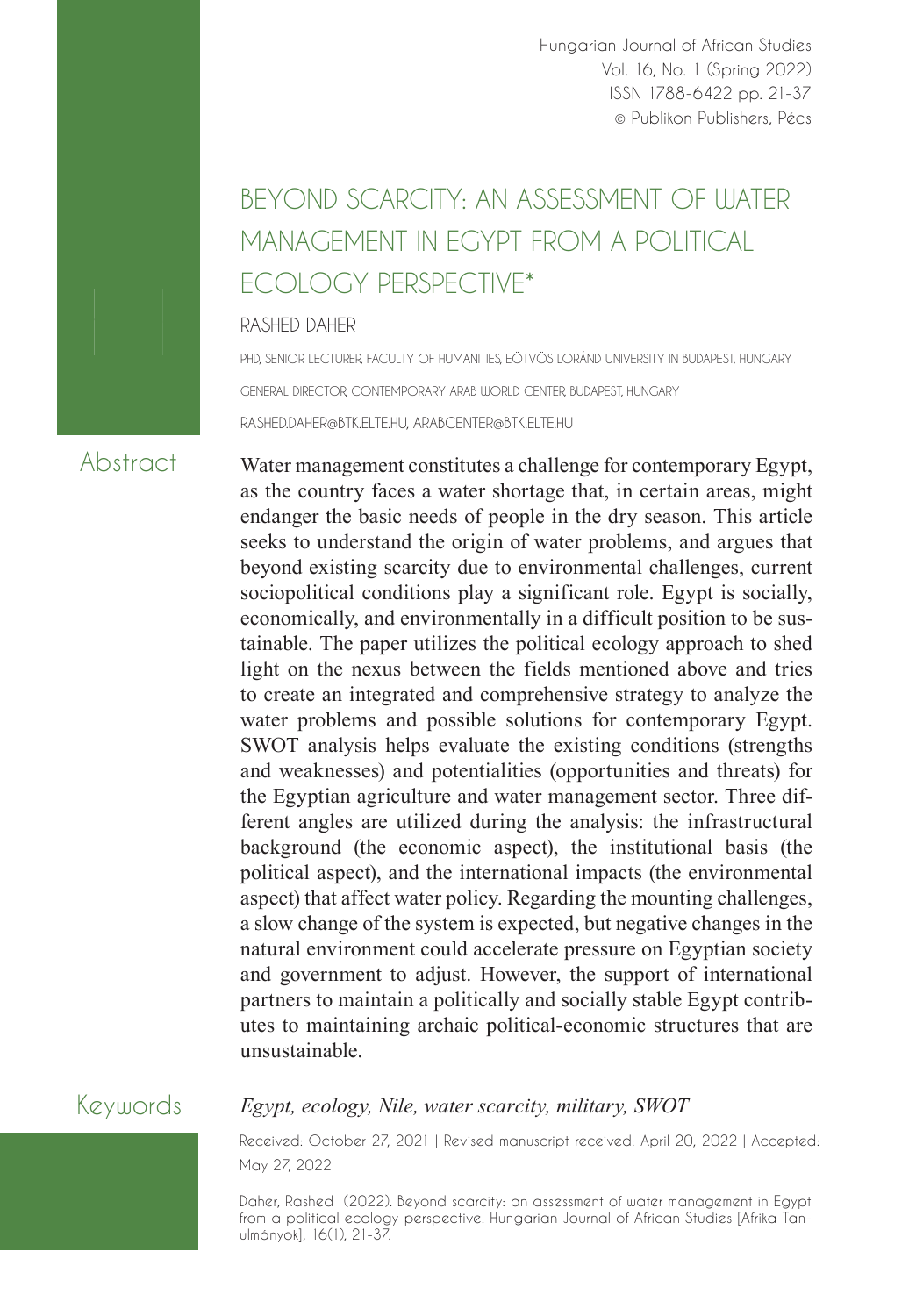Hungarian Journal of African Studies Vol. 16, No. 1 (Spring 2022) ISSN 1788-6422 pp. 21-37 © Publikon Publishers, Pécs

# BEYOND SCARCITY: AN ASSESSMENT OF ILIATER MANAGEMENT IN EGYPT FROM A POLITICAL ECOLOGY PERSPECTIVE\*

#### RASHED DAHER

PHD, SENIOR LECTURER, FACULTY OF HUMANITIES, EÖTVÖS LORÁND UNIVERSITY IN BUDAPEST, HUNGARY GENERAL DIRECTOR, CONTEMPORARY ARAB WORLD CENTER, BUDAPEST, HUNGARY RASHED.DAHER@BTK.ELTE.HU, ARABCENTER@BTK.ELTE.HU

## Abstract

Water management constitutes a challenge for contemporary Egypt, as the country faces a water shortage that, in certain areas, might endanger the basic needs of people in the dry season. This article seeks to understand the origin of water problems, and argues that beyond existing scarcity due to environmental challenges, current sociopolitical conditions play a significant role. Egypt is socially, economically, and environmentally in a difficult position to be sustainable. The paper utilizes the political ecology approach to shed light on the nexus between the fields mentioned above and tries to create an integrated and comprehensive strategy to analyze the water problems and possible solutions for contemporary Egypt. SWOT analysis helps evaluate the existing conditions (strengths and weaknesses) and potentialities (opportunities and threats) for the Egyptian agriculture and water management sector. Three different angles are utilized during the analysis: the infrastructural background (the economic aspect), the institutional basis (the political aspect), and the international impacts (the environmental aspect) that affect water policy. Regarding the mounting challenges, a slow change of the system is expected, but negative changes in the natural environment could accelerate pressure on Egyptian society and government to adjust. However, the support of international partners to maintain a politically and socially stable Egypt contributes to maintaining archaic political-economic structures that are unsustainable.

## Keywords

#### *Egypt, ecology, Nile, water scarcity, military, SWOT*

Received: October 27, 2021 | Revised manuscript received: April 20, 2022 | Accepted: May 27, 2022

Daher, Rashed (2022). Beyond scarcity: an assessment of water management in Egypt from a political ecology perspective. Hungarian Journal of African Studies [Afrika Tanulmányok], 16(1), 21-37.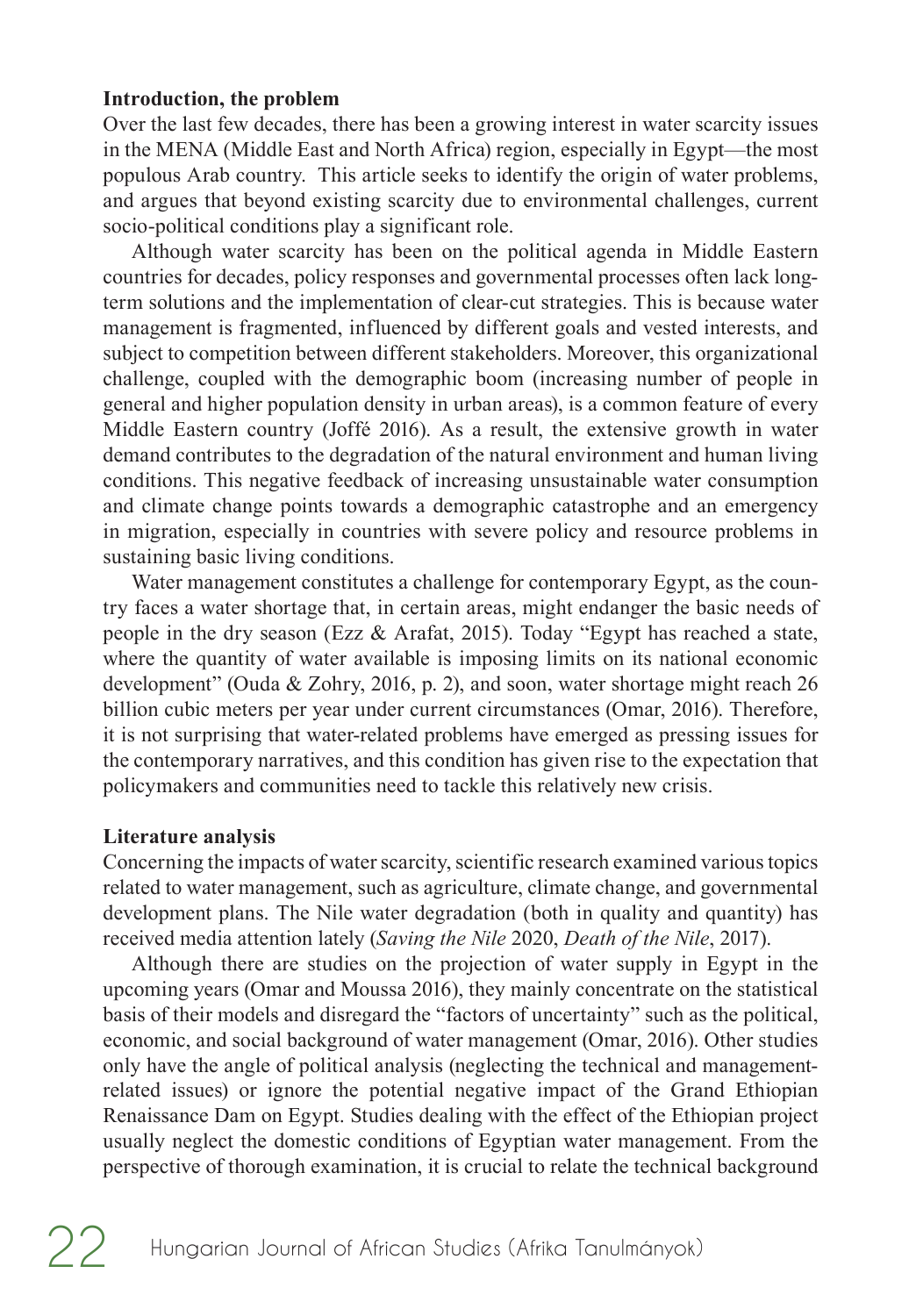#### **Introduction, the problem**

Over the last few decades, there has been a growing interest in water scarcity issues in the MENA (Middle East and North Africa) region, especially in Egypt—the most populous Arab country. This article seeks to identify the origin of water problems, and argues that beyond existing scarcity due to environmental challenges, current socio-political conditions play a significant role.

Although water scarcity has been on the political agenda in Middle Eastern countries for decades, policy responses and governmental processes often lack longterm solutions and the implementation of clear-cut strategies. This is because water management is fragmented, influenced by different goals and vested interests, and subject to competition between different stakeholders. Moreover, this organizational challenge, coupled with the demographic boom (increasing number of people in general and higher population density in urban areas), is a common feature of every Middle Eastern country (Joffé 2016). As a result, the extensive growth in water demand contributes to the degradation of the natural environment and human living conditions. This negative feedback of increasing unsustainable water consumption and climate change points towards a demographic catastrophe and an emergency in migration, especially in countries with severe policy and resource problems in sustaining basic living conditions.

Water management constitutes a challenge for contemporary Egypt, as the country faces a water shortage that, in certain areas, might endanger the basic needs of people in the dry season (Ezz  $\&$  Arafat, 2015). Today "Egypt has reached a state, where the quantity of water available is imposing limits on its national economic development" (Ouda & Zohry, 2016, p. 2), and soon, water shortage might reach 26 billion cubic meters per year under current circumstances (Omar, 2016). Therefore, it is not surprising that water-related problems have emerged as pressing issues for the contemporary narratives, and this condition has given rise to the expectation that policymakers and communities need to tackle this relatively new crisis.

#### **Literature analysis**

Concerning the impacts of water scarcity, scientific research examined various topics related to water management, such as agriculture, climate change, and governmental development plans. The Nile water degradation (both in quality and quantity) has received media attention lately (*Saving the Nile* 2020, *Death of the Nile*, 2017).

Although there are studies on the projection of water supply in Egypt in the upcoming years (Omar and Moussa 2016), they mainly concentrate on the statistical basis of their models and disregard the "factors of uncertainty" such as the political, economic, and social background of water management (Omar, 2016). Other studies only have the angle of political analysis (neglecting the technical and managementrelated issues) or ignore the potential negative impact of the Grand Ethiopian Renaissance Dam on Egypt. Studies dealing with the effect of the Ethiopian project usually neglect the domestic conditions of Egyptian water management. From the perspective of thorough examination, it is crucial to relate the technical background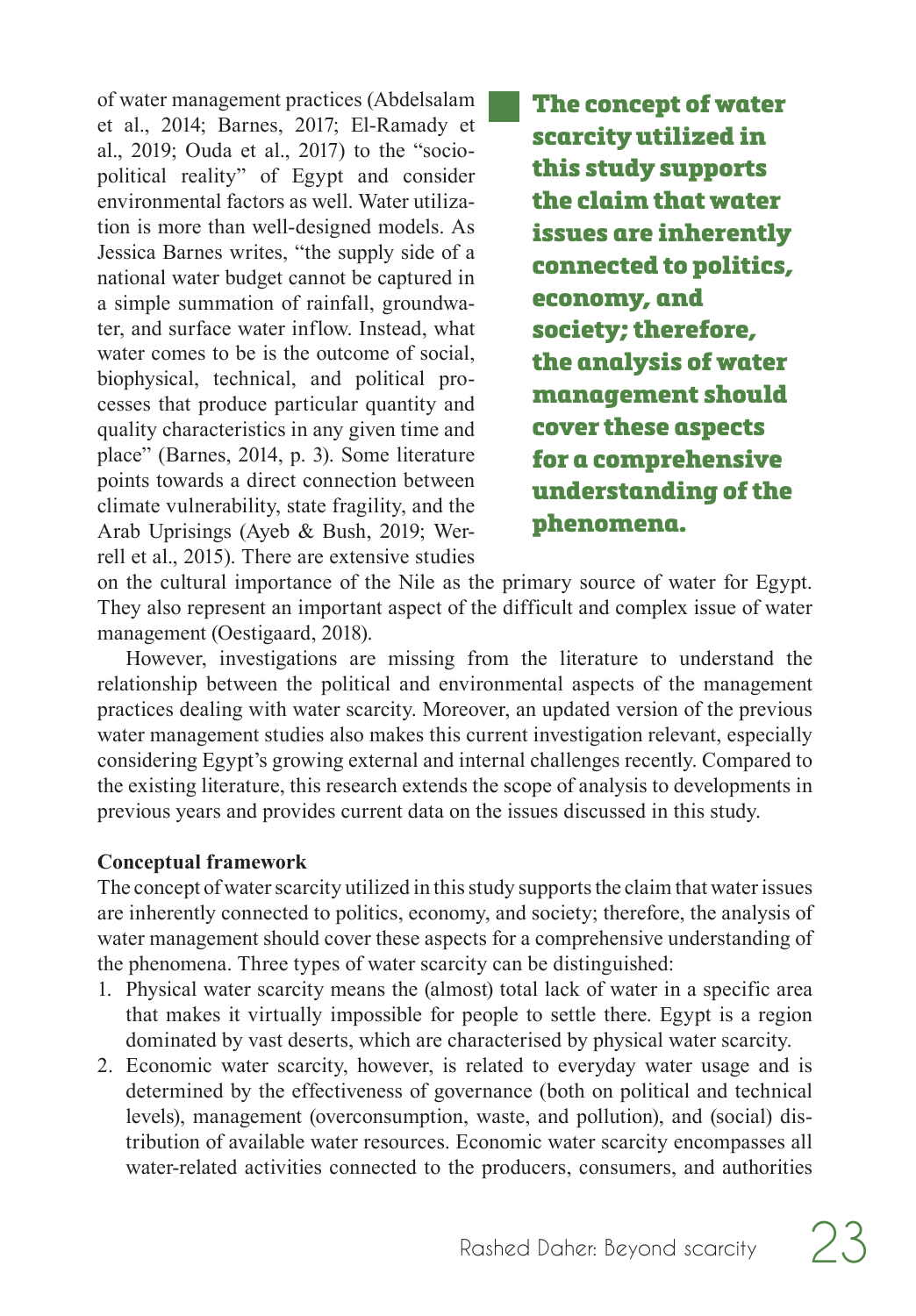of water management practices (Abdelsalam et al., 2014; Barnes, 2017; El-Ramady et al., 2019; Ouda et al., 2017) to the "sociopolitical reality" of Egypt and consider environmental factors as well. Water utilization is more than well-designed models. As Jessica Barnes writes, "the supply side of a national water budget cannot be captured in a simple summation of rainfall, groundwater, and surface water inflow. Instead, what water comes to be is the outcome of social, biophysical, technical, and political processes that produce particular quantity and quality characteristics in any given time and place" (Barnes, 2014, p. 3). Some literature points towards a direct connection between climate vulnerability, state fragility, and the Arab Uprisings (Ayeb & Bush, 2019; Werrell et al., 2015). There are extensive studies

The concept of water scarcity utilized in this study supports the claim that water issues are inherently connected to politics, economy, and society; therefore, the analysis of water management should cover these aspects for a comprehensive understanding of the phenomena.

on the cultural importance of the Nile as the primary source of water for Egypt. They also represent an important aspect of the difficult and complex issue of water management (Oestigaard, 2018).

However, investigations are missing from the literature to understand the relationship between the political and environmental aspects of the management practices dealing with water scarcity. Moreover, an updated version of the previous water management studies also makes this current investigation relevant, especially considering Egypt's growing external and internal challenges recently. Compared to the existing literature, this research extends the scope of analysis to developments in previous years and provides current data on the issues discussed in this study.

#### **Conceptual framework**

The concept of water scarcity utilized in this study supports the claim that water issues are inherently connected to politics, economy, and society; therefore, the analysis of water management should cover these aspects for a comprehensive understanding of the phenomena. Three types of water scarcity can be distinguished:

- 1. Physical water scarcity means the (almost) total lack of water in a specific area that makes it virtually impossible for people to settle there. Egypt is a region dominated by vast deserts, which are characterised by physical water scarcity.
- 2. Economic water scarcity, however, is related to everyday water usage and is determined by the effectiveness of governance (both on political and technical levels), management (overconsumption, waste, and pollution), and (social) distribution of available water resources. Economic water scarcity encompasses all water-related activities connected to the producers, consumers, and authorities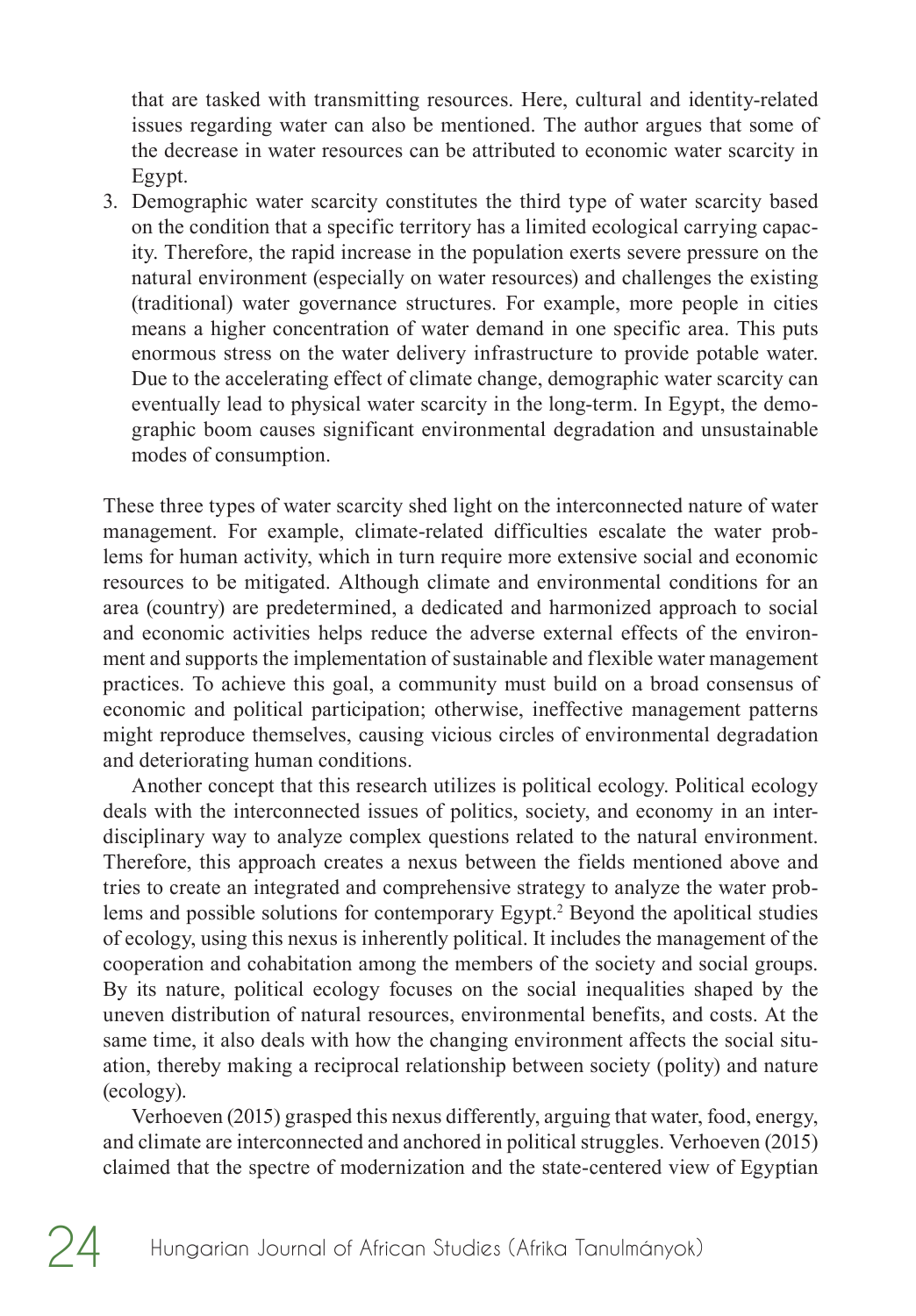<span id="page-3-0"></span>that are tasked with transmitting resources. Here, cultural and identity-related issues regarding water can also be mentioned. The author argues that some of the decrease in water resources can be attributed to economic water scarcity in Egypt.

3. Demographic water scarcity constitutes the third type of water scarcity based on the condition that a specific territory has a limited ecological carrying capacity. Therefore, the rapid increase in the population exerts severe pressure on the natural environment (especially on water resources) and challenges the existing (traditional) water governance structures. For example, more people in cities means a higher concentration of water demand in one specific area. This puts enormous stress on the water delivery infrastructure to provide potable water. Due to the accelerating effect of climate change, demographic water scarcity can eventually lead to physical water scarcity in the long-term. In Egypt, the demographic boom causes significant environmental degradation and unsustainable modes of consumption.

These three types of water scarcity shed light on the interconnected nature of water management. For example, climate-related difficulties escalate the water problems for human activity, which in turn require more extensive social and economic resources to be mitigated. Although climate and environmental conditions for an area (country) are predetermined, a dedicated and harmonized approach to social and economic activities helps reduce the adverse external effects of the environment and supports the implementation of sustainable and flexible water management practices. To achieve this goal, a community must build on a broad consensus of economic and political participation; otherwise, ineffective management patterns might reproduce themselves, causing vicious circles of environmental degradation and deteriorating human conditions.

Another concept that this research utilizes is political ecology. Political ecology deals with the interconnected issues of politics, society, and economy in an interdisciplinary way to analyze complex questions related to the natural environment. Therefore, this approach creates a nexus between the fields mentioned above and tries to create an integrated and comprehensive strategy to analyze the water prob-lems and possible solutions for contemporary Egypt.<sup>[2](#page-14-0)</sup> Beyond the apolitical studies of ecology, using this nexus is inherently political. It includes the management of the cooperation and cohabitation among the members of the society and social groups. By its nature, political ecology focuses on the social inequalities shaped by the uneven distribution of natural resources, environmental benefits, and costs. At the same time, it also deals with how the changing environment affects the social situation, thereby making a reciprocal relationship between society (polity) and nature (ecology).

Verhoeven (2015) grasped this nexus differently, arguing that water, food, energy, and climate are interconnected and anchored in political struggles. Verhoeven (2015) claimed that the spectre of modernization and the state-centered view of Egyptian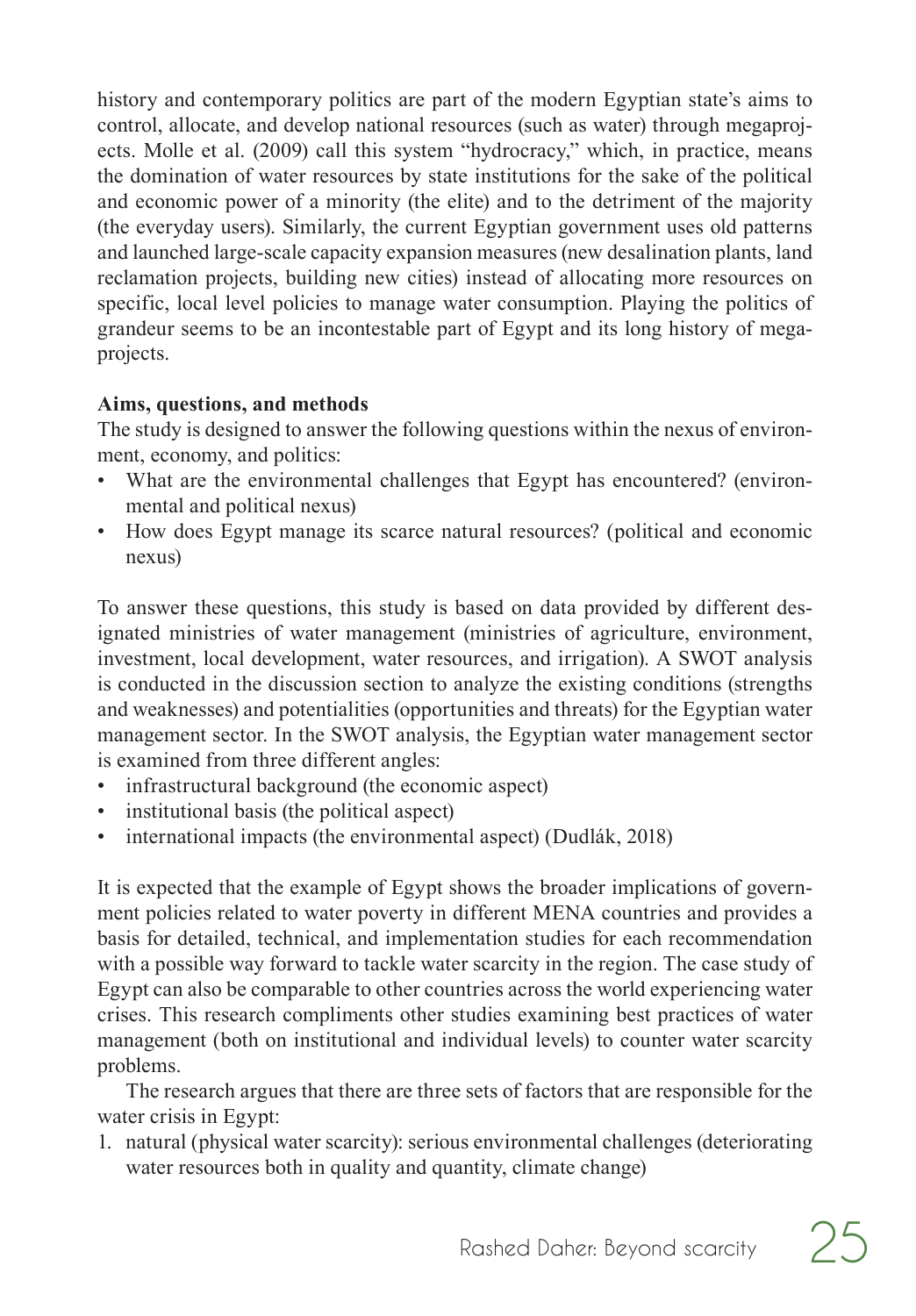history and contemporary politics are part of the modern Egyptian state's aims to control, allocate, and develop national resources (such as water) through megaprojects. Molle et al. (2009) call this system "hydrocracy," which, in practice, means the domination of water resources by state institutions for the sake of the political and economic power of a minority (the elite) and to the detriment of the majority (the everyday users). Similarly, the current Egyptian government uses old patterns and launched large-scale capacity expansion measures (new desalination plants, land reclamation projects, building new cities) instead of allocating more resources on specific, local level policies to manage water consumption. Playing the politics of grandeur seems to be an incontestable part of Egypt and its long history of megaprojects.

### **Aims, questions, and methods**

The study is designed to answer the following questions within the nexus of environment, economy, and politics:

- What are the environmental challenges that Egypt has encountered? (environmental and political nexus)
- How does Egypt manage its scarce natural resources? (political and economic nexus)

To answer these questions, this study is based on data provided by different designated ministries of water management (ministries of agriculture, environment, investment, local development, water resources, and irrigation). A SWOT analysis is conducted in the discussion section to analyze the existing conditions (strengths and weaknesses) and potentialities (opportunities and threats) for the Egyptian water management sector. In the SWOT analysis, the Egyptian water management sector is examined from three different angles:

- infrastructural background (the economic aspect)
- institutional basis (the political aspect)
- international impacts (the environmental aspect) (Dudlák, 2018)

It is expected that the example of Egypt shows the broader implications of government policies related to water poverty in different MENA countries and provides a basis for detailed, technical, and implementation studies for each recommendation with a possible way forward to tackle water scarcity in the region. The case study of Egypt can also be comparable to other countries across the world experiencing water crises. This research compliments other studies examining best practices of water management (both on institutional and individual levels) to counter water scarcity problems.

The research argues that there are three sets of factors that are responsible for the water crisis in Egypt:

1. natural (physical water scarcity): serious environmental challenges (deteriorating water resources both in quality and quantity, climate change)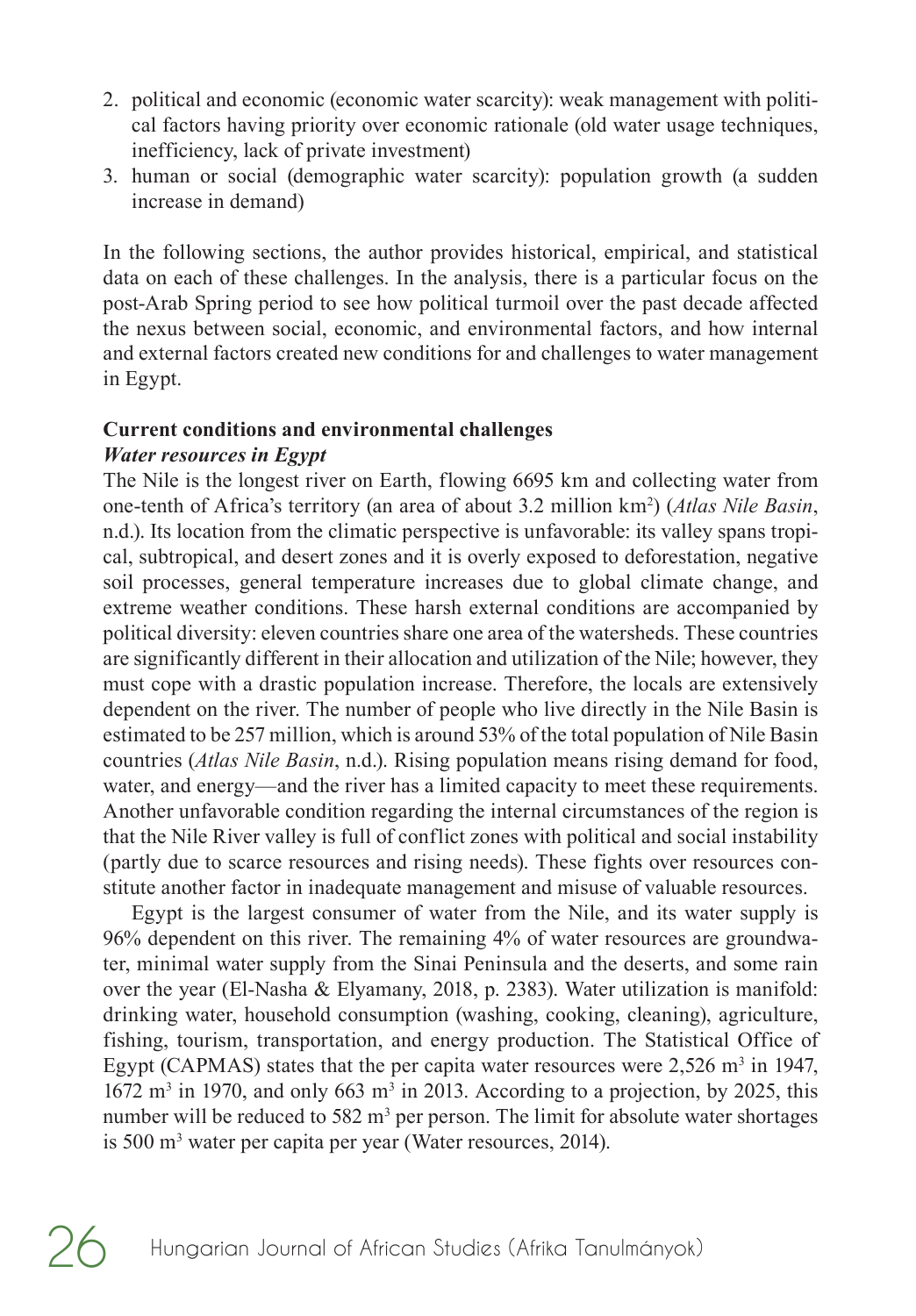- 2. political and economic (economic water scarcity): weak management with political factors having priority over economic rationale (old water usage techniques, inefficiency, lack of private investment)
- 3. human or social (demographic water scarcity): population growth (a sudden increase in demand)

In the following sections, the author provides historical, empirical, and statistical data on each of these challenges. In the analysis, there is a particular focus on the post-Arab Spring period to see how political turmoil over the past decade affected the nexus between social, economic, and environmental factors, and how internal and external factors created new conditions for and challenges to water management in Egypt.

## **Current conditions and environmental challenges**

## *Water resources in Egypt*

The Nile is the longest river on Earth, flowing 6695 km and collecting water from one-tenth of Africa's territory (an area of about 3.2 million km<sup>2</sup>) (*Atlas Nile Basin*, n.d.). Its location from the climatic perspective is unfavorable: its valley spans tropical, subtropical, and desert zones and it is overly exposed to deforestation, negative soil processes, general temperature increases due to global climate change, and extreme weather conditions. These harsh external conditions are accompanied by political diversity: eleven countries share one area of the watersheds. These countries are significantly different in their allocation and utilization of the Nile; however, they must cope with a drastic population increase. Therefore, the locals are extensively dependent on the river. The number of people who live directly in the Nile Basin is estimated to be 257 million, which is around 53% of the total population of Nile Basin countries (*Atlas Nile Basin*, n.d.). Rising population means rising demand for food, water, and energy—and the river has a limited capacity to meet these requirements. Another unfavorable condition regarding the internal circumstances of the region is that the Nile River valley is full of conflict zones with political and social instability (partly due to scarce resources and rising needs). These fights over resources constitute another factor in inadequate management and misuse of valuable resources.

Egypt is the largest consumer of water from the Nile, and its water supply is 96% dependent on this river. The remaining 4% of water resources are groundwater, minimal water supply from the Sinai Peninsula and the deserts, and some rain over the year (El-Nasha & Elyamany, 2018, p. 2383). Water utilization is manifold: drinking water, household consumption (washing, cooking, cleaning), agriculture, fishing, tourism, transportation, and energy production. The Statistical Office of Egypt (CAPMAS) states that the per capita water resources were  $2,526$  m<sup>3</sup> in 1947,  $1672 \text{ m}^3$  in 1970, and only 663 m<sup>3</sup> in 2013. According to a projection, by 2025, this number will be reduced to 582 m<sup>3</sup> per person. The limit for absolute water shortages is 500 m<sup>3</sup> water per capita per year (Water resources, 2014).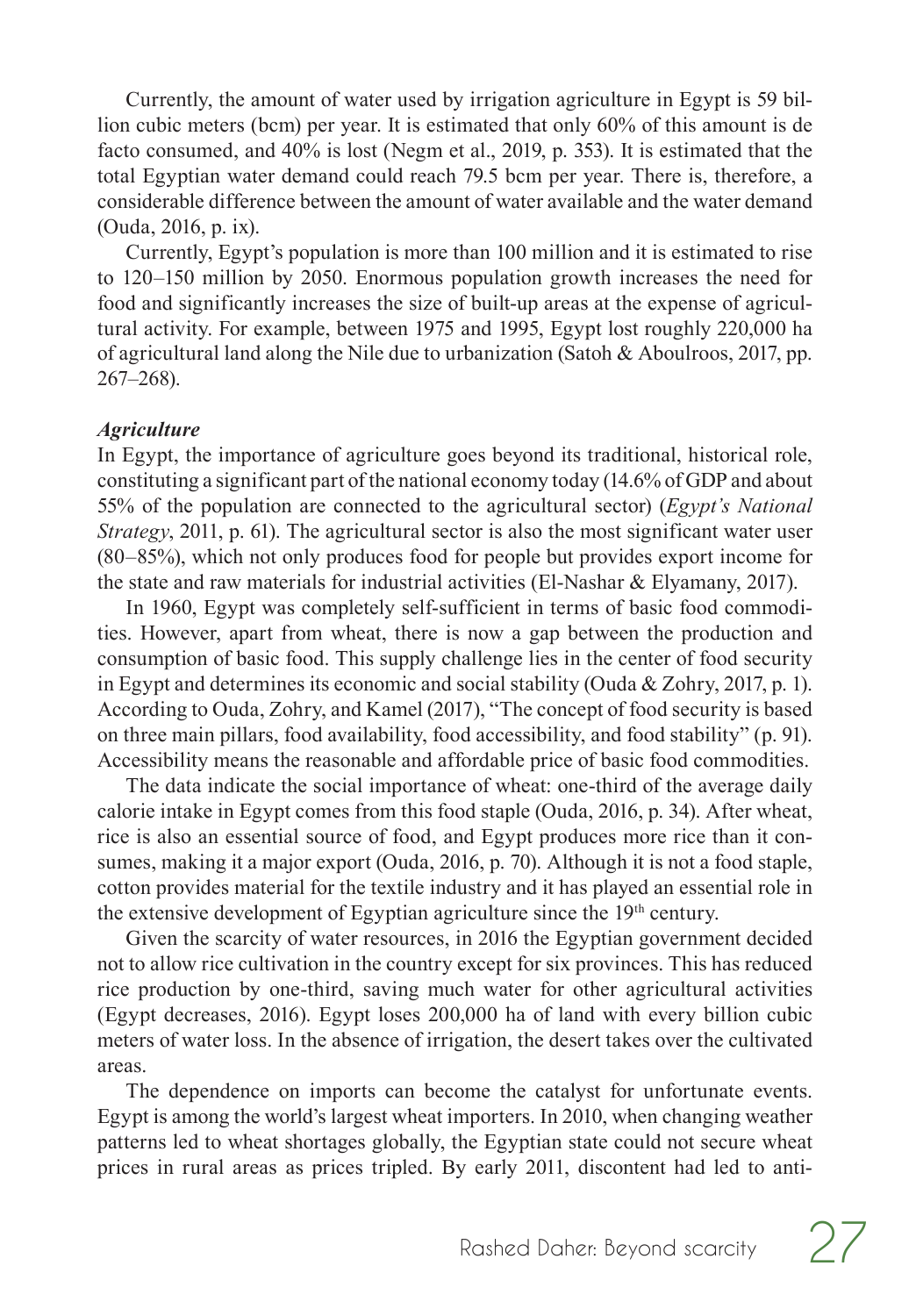Currently, the amount of water used by irrigation agriculture in Egypt is 59 billion cubic meters (bcm) per year. It is estimated that only 60% of this amount is de facto consumed, and 40% is lost (Negm et al., 2019, p. 353). It is estimated that the total Egyptian water demand could reach 79.5 bcm per year. There is, therefore, a considerable difference between the amount of water available and the water demand (Ouda, 2016, p. ix).

Currently, Egypt's population is more than 100 million and it is estimated to rise to 120–150 million by 2050. Enormous population growth increases the need for food and significantly increases the size of built-up areas at the expense of agricultural activity. For example, between 1975 and 1995, Egypt lost roughly 220,000 ha of agricultural land along the Nile due to urbanization (Satoh & Aboulroos, 2017, pp. 267–268).

#### *Agriculture*

In Egypt, the importance of agriculture goes beyond its traditional, historical role, constituting a significant part of the national economy today (14.6% of GDP and about 55% of the population are connected to the agricultural sector) (*Egypt's National Strategy*, 2011, p. 61). The agricultural sector is also the most significant water user (80–85%), which not only produces food for people but provides export income for the state and raw materials for industrial activities (El-Nashar & Elyamany, 2017).

In 1960, Egypt was completely self-sufficient in terms of basic food commodities. However, apart from wheat, there is now a gap between the production and consumption of basic food. This supply challenge lies in the center of food security in Egypt and determines its economic and social stability (Ouda & Zohry, 2017, p. 1). According to Ouda, Zohry, and Kamel (2017), "The concept of food security is based on three main pillars, food availability, food accessibility, and food stability" (p. 91). Accessibility means the reasonable and affordable price of basic food commodities.

The data indicate the social importance of wheat: one-third of the average daily calorie intake in Egypt comes from this food staple (Ouda, 2016, p. 34). After wheat, rice is also an essential source of food, and Egypt produces more rice than it consumes, making it a major export (Ouda, 2016, p. 70). Although it is not a food staple, cotton provides material for the textile industry and it has played an essential role in the extensive development of Egyptian agriculture since the  $19<sup>th</sup>$  century.

Given the scarcity of water resources, in 2016 the Egyptian government decided not to allow rice cultivation in the country except for six provinces. This has reduced rice production by one-third, saving much water for other agricultural activities (Egypt decreases, 2016). Egypt loses 200,000 ha of land with every billion cubic meters of water loss. In the absence of irrigation, the desert takes over the cultivated areas.

The dependence on imports can become the catalyst for unfortunate events. Egypt is among the world's largest wheat importers. In 2010, when changing weather patterns led to wheat shortages globally, the Egyptian state could not secure wheat prices in rural areas as prices tripled. By early 2011, discontent had led to anti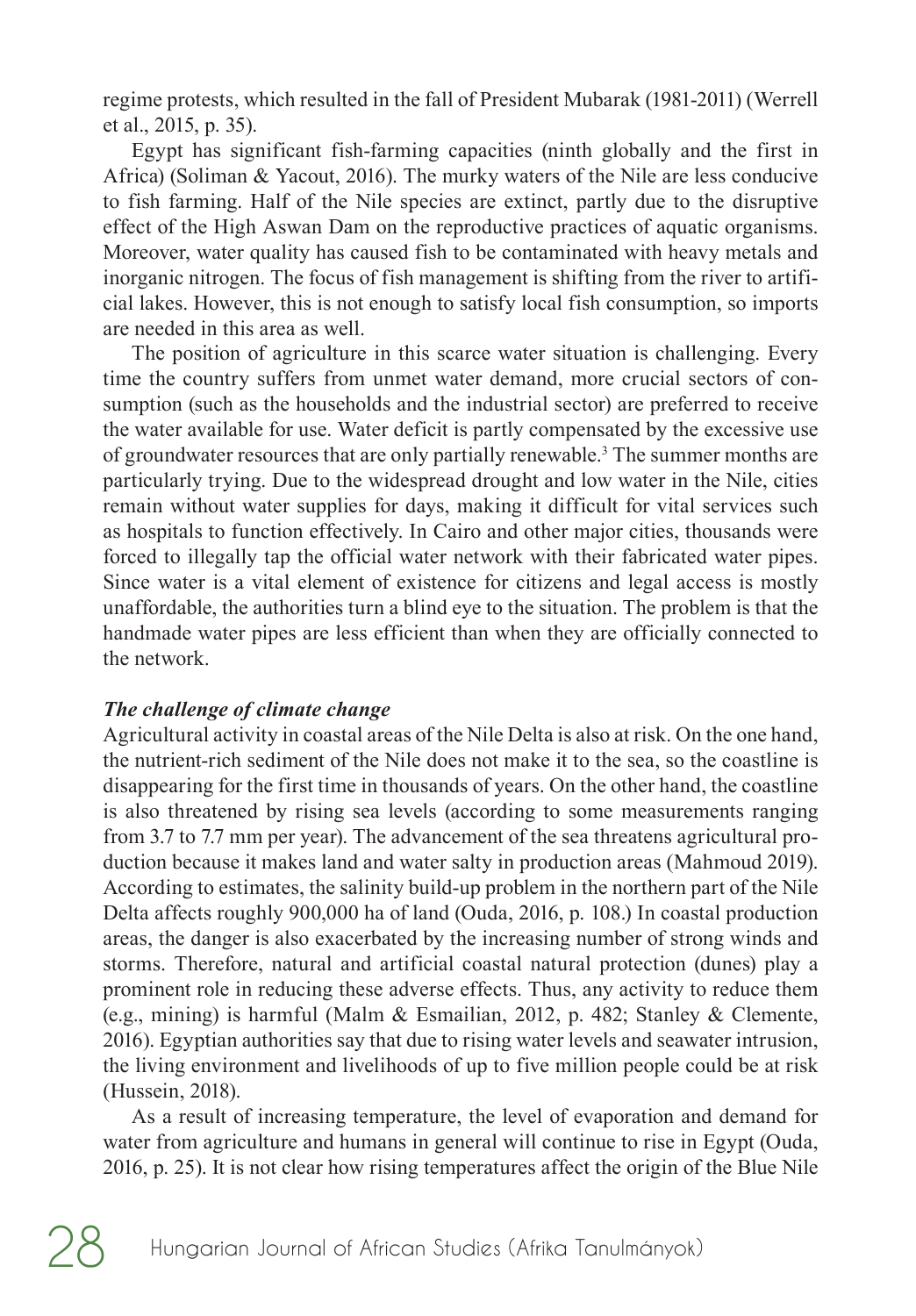<span id="page-7-0"></span>regime protests, which resulted in the fall of President Mubarak (1981-2011) (Werrell et al., 2015, p. 35).

Egypt has significant fish-farming capacities (ninth globally and the first in Africa) (Soliman & Yacout, 2016). The murky waters of the Nile are less conducive to fish farming. Half of the Nile species are extinct, partly due to the disruptive effect of the High Aswan Dam on the reproductive practices of aquatic organisms. Moreover, water quality has caused fish to be contaminated with heavy metals and inorganic nitrogen. The focus of fish management is shifting from the river to artificial lakes. However, this is not enough to satisfy local fish consumption, so imports are needed in this area as well.

The position of agriculture in this scarce water situation is challenging. Every time the country suffers from unmet water demand, more crucial sectors of consumption (such as the households and the industrial sector) are preferred to receive the water available for use. Water deficit is partly compensated by the excessive use of groundwater resources that are only partially renewable.<sup>3</sup> The summer months are particularly trying. Due to the widespread drought and low water in the Nile, cities remain without water supplies for days, making it difficult for vital services such as hospitals to function effectively. In Cairo and other major cities, thousands were forced to illegally tap the official water network with their fabricated water pipes. Since water is a vital element of existence for citizens and legal access is mostly unaffordable, the authorities turn a blind eye to the situation. The problem is that the handmade water pipes are less efficient than when they are officially connected to the network.

#### *The challenge of climate change*

Agricultural activity in coastal areas of the Nile Delta is also at risk. On the one hand, the nutrient-rich sediment of the Nile does not make it to the sea, so the coastline is disappearing for the first time in thousands of years. On the other hand, the coastline is also threatened by rising sea levels (according to some measurements ranging from 3.7 to 7.7 mm per year). The advancement of the sea threatens agricultural production because it makes land and water salty in production areas (Mahmoud 2019). According to estimates, the salinity build-up problem in the northern part of the Nile Delta affects roughly 900,000 ha of land (Ouda, 2016, p. 108.) In coastal production areas, the danger is also exacerbated by the increasing number of strong winds and storms. Therefore, natural and artificial coastal natural protection (dunes) play a prominent role in reducing these adverse effects. Thus, any activity to reduce them (e.g., mining) is harmful (Malm & Esmailian, 2012, p. 482; Stanley & Clemente, 2016). Egyptian authorities say that due to rising water levels and seawater intrusion, the living environment and livelihoods of up to five million people could be at risk (Hussein, 2018).

As a result of increasing temperature, the level of evaporation and demand for water from agriculture and humans in general will continue to rise in Egypt (Ouda, 2016, p. 25). It is not clear how rising temperatures affect the origin of the Blue Nile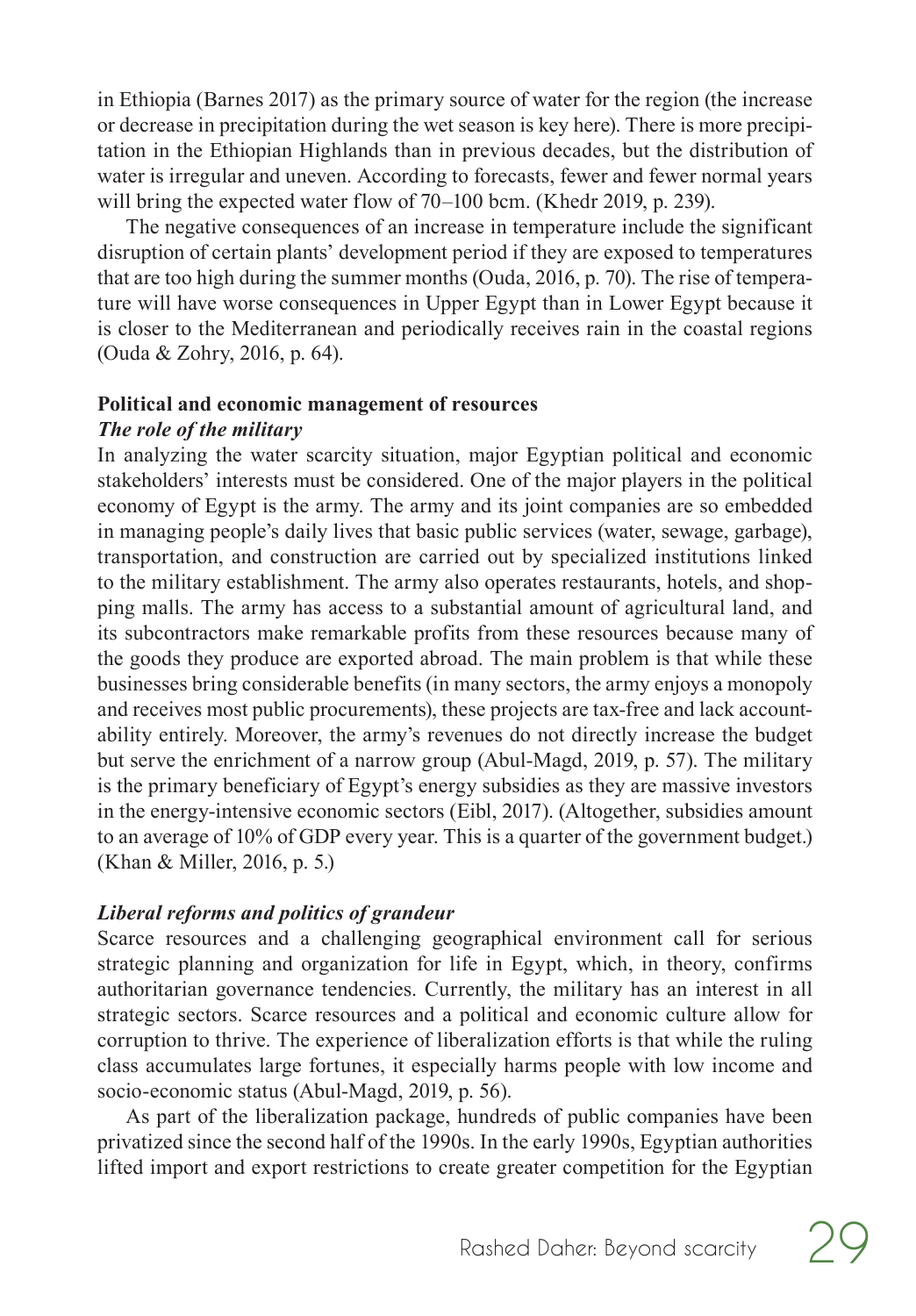in Ethiopia (Barnes 2017) as the primary source of water for the region (the increase or decrease in precipitation during the wet season is key here). There is more precipitation in the Ethiopian Highlands than in previous decades, but the distribution of water is irregular and uneven. According to forecasts, fewer and fewer normal years will bring the expected water flow of 70–100 bcm. (Khedr 2019, p. 239).

The negative consequences of an increase in temperature include the significant disruption of certain plants' development period if they are exposed to temperatures that are too high during the summer months (Ouda, 2016, p. 70). The rise of temperature will have worse consequences in Upper Egypt than in Lower Egypt because it is closer to the Mediterranean and periodically receives rain in the coastal regions (Ouda & Zohry, 2016, p. 64).

#### **Political and economic management of resources** *The role of the military*

In analyzing the water scarcity situation, major Egyptian political and economic stakeholders' interests must be considered. One of the major players in the political economy of Egypt is the army. The army and its joint companies are so embedded in managing people's daily lives that basic public services (water, sewage, garbage), transportation, and construction are carried out by specialized institutions linked to the military establishment. The army also operates restaurants, hotels, and shopping malls. The army has access to a substantial amount of agricultural land, and its subcontractors make remarkable profits from these resources because many of the goods they produce are exported abroad. The main problem is that while these businesses bring considerable benefits (in many sectors, the army enjoys a monopoly and receives most public procurements), these projects are tax-free and lack accountability entirely. Moreover, the army's revenues do not directly increase the budget but serve the enrichment of a narrow group (Abul-Magd, 2019, p. 57). The military is the primary beneficiary of Egypt's energy subsidies as they are massive investors in the energy-intensive economic sectors (Eibl, 2017). (Altogether, subsidies amount to an average of 10% of GDP every year. This is a quarter of the government budget.) (Khan & Miller, 2016, p. 5.)

## *Liberal reforms and politics of grandeur*

Scarce resources and a challenging geographical environment call for serious strategic planning and organization for life in Egypt, which, in theory, confirms authoritarian governance tendencies. Currently, the military has an interest in all strategic sectors. Scarce resources and a political and economic culture allow for corruption to thrive. The experience of liberalization efforts is that while the ruling class accumulates large fortunes, it especially harms people with low income and socio-economic status (Abul-Magd, 2019, p. 56).

As part of the liberalization package, hundreds of public companies have been privatized since the second half of the 1990s. In the early 1990s, Egyptian authorities lifted import and export restrictions to create greater competition for the Egyptian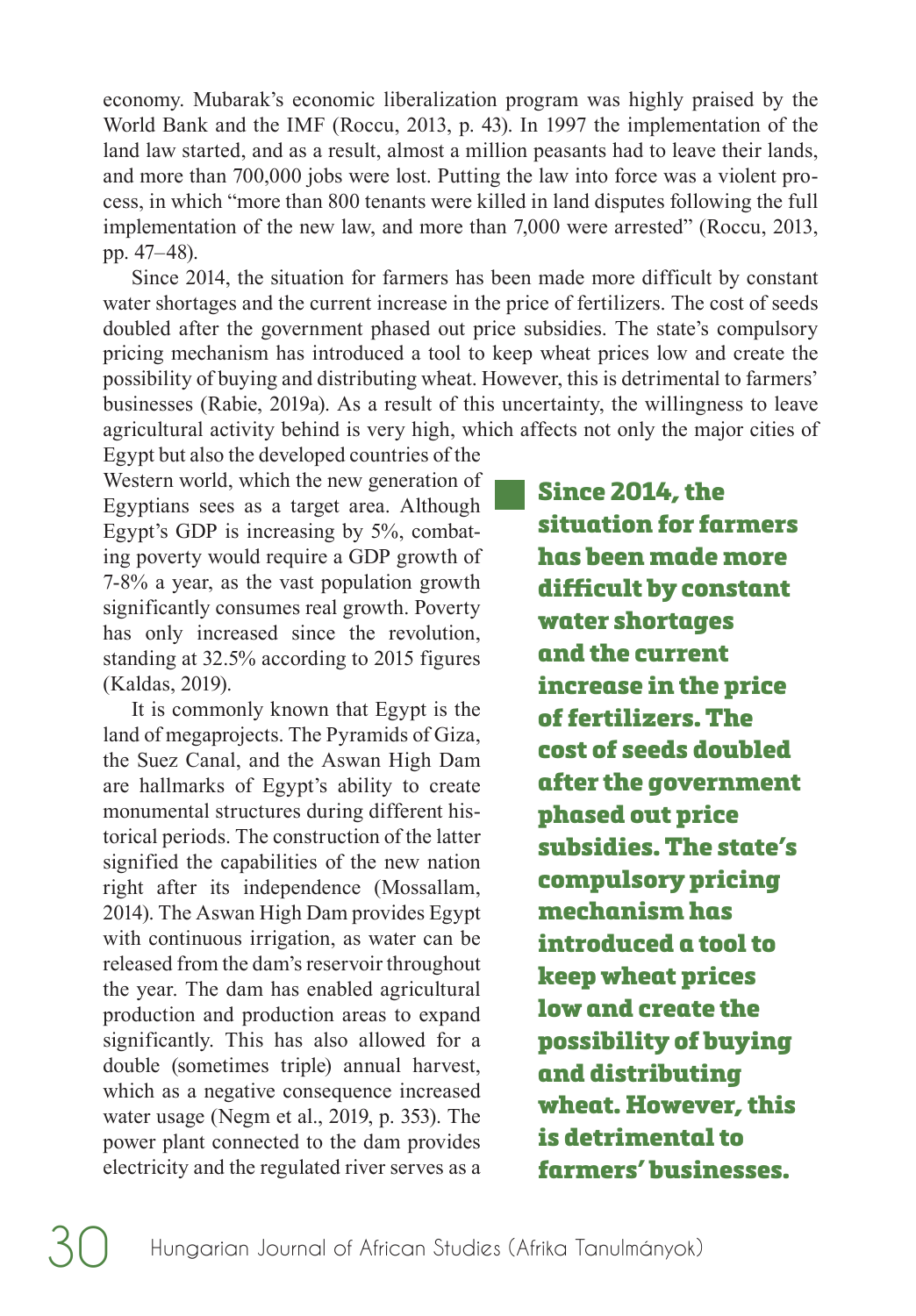economy. Mubarak's economic liberalization program was highly praised by the World Bank and the IMF (Roccu, 2013, p. 43). In 1997 the implementation of the land law started, and as a result, almost a million peasants had to leave their lands, and more than 700,000 jobs were lost. Putting the law into force was a violent process, in which "more than 800 tenants were killed in land disputes following the full implementation of the new law, and more than 7,000 were arrested" (Roccu, 2013, pp. 47–48).

Since 2014, the situation for farmers has been made more difficult by constant water shortages and the current increase in the price of fertilizers. The cost of seeds doubled after the government phased out price subsidies. The state's compulsory pricing mechanism has introduced a tool to keep wheat prices low and create the possibility of buying and distributing wheat. However, this is detrimental to farmers' businesses (Rabie, 2019a). As a result of this uncertainty, the willingness to leave agricultural activity behind is very high, which affects not only the major cities of

Egypt but also the developed countries of the Western world, which the new generation of Egyptians sees as a target area. Although Egypt's GDP is increasing by 5%, combating poverty would require a GDP growth of 7-8% a year, as the vast population growth significantly consumes real growth. Poverty has only increased since the revolution, standing at 32.5% according to 2015 figures (Kaldas, 2019).

It is commonly known that Egypt is the land of megaprojects. The Pyramids of Giza, the Suez Canal, and the Aswan High Dam are hallmarks of Egypt's ability to create monumental structures during different historical periods. The construction of the latter signified the capabilities of the new nation right after its independence (Mossallam, 2014). The Aswan High Dam provides Egypt with continuous irrigation, as water can be released from the dam's reservoir throughout the year. The dam has enabled agricultural production and production areas to expand significantly. This has also allowed for a double (sometimes triple) annual harvest, which as a negative consequence increased water usage (Negm et al., 2019, p. 353). The power plant connected to the dam provides electricity and the regulated river serves as a Since 2014, the situation for farmers has been made more difficult by constant water shortages and the current increase in the price of fertilizers. The cost of seeds doubled after the government phased out price subsidies. The state's compulsory pricing mechanism has introduced a tool to keep wheat prices low and create the possibility of buying and distributing wheat. However, this is detrimental to farmers' businesses.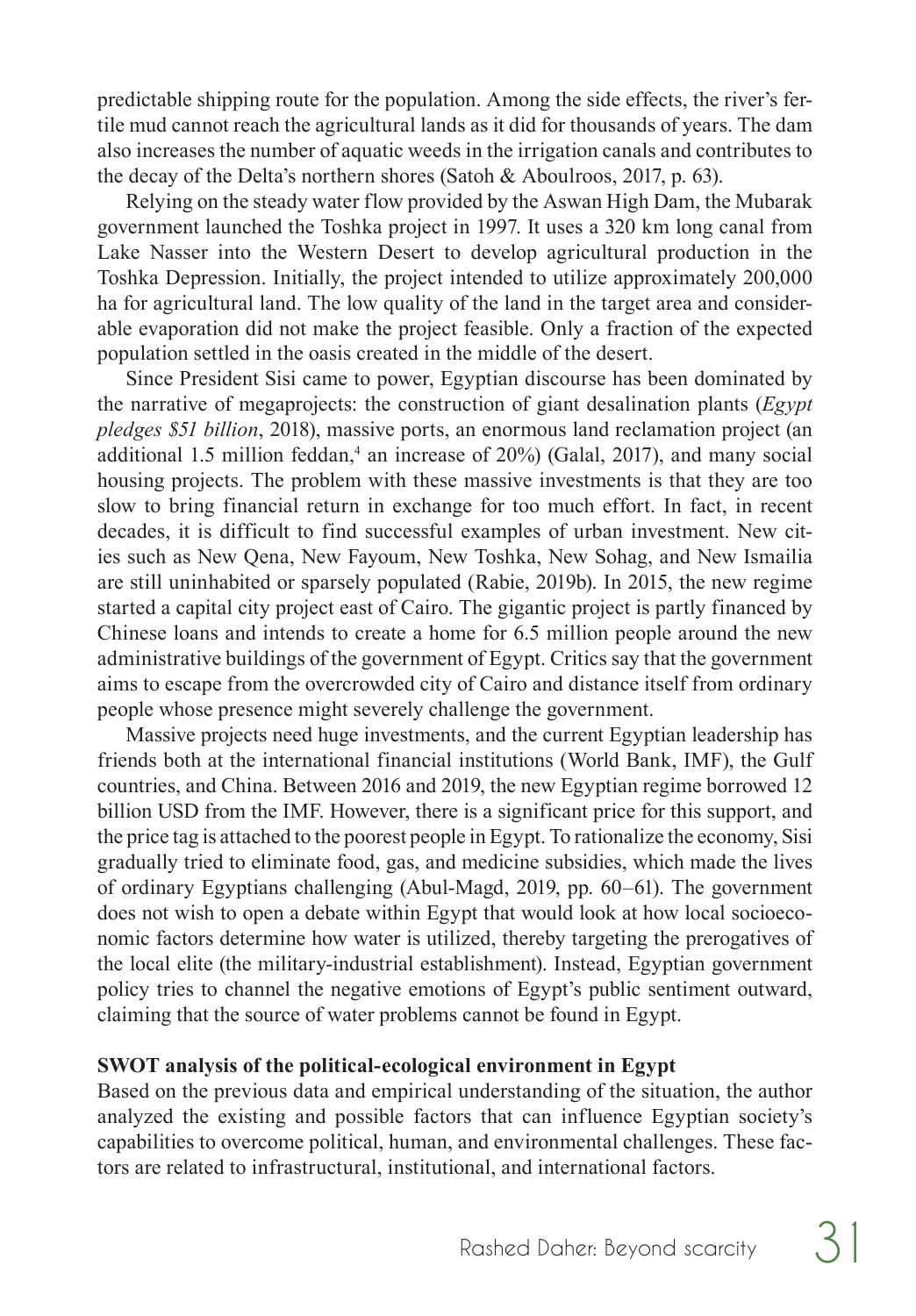predictable shipping route for the population. Among the side effects, the river's fertile mud cannot reach the agricultural lands as it did for thousands of years. The dam also increases the number of aquatic weeds in the irrigation canals and contributes to the decay of the Delta's northern shores (Satoh & Aboulroos, 2017, p. 63).

Relying on the steady water flow provided by the Aswan High Dam, the Mubarak government launched the Toshka project in 1997. It uses a 320 km long canal from Lake Nasser into the Western Desert to develop agricultural production in the Toshka Depression. Initially, the project intended to utilize approximately 200,000 ha for agricultural land. The low quality of the land in the target area and considerable evaporation did not make the project feasible. Only a fraction of the expected population settled in the oasis created in the middle of the desert.

Since President Sisi came to power, Egyptian discourse has been dominated by the narrative of megaprojects: the construction of giant desalination plants (*Egypt pledges \$51 billion*, 2018), massive ports, an enormous land reclamation project (an additional 1.5 million feddan,<sup>[4](#page-14-0)</sup> an increase of 20%) (Galal, 2017), and many social housing projects. The problem with these massive investments is that they are too slow to bring financial return in exchange for too much effort. In fact, in recent decades, it is difficult to find successful examples of urban investment. New cities such as New Qena, New Fayoum, New Toshka, New Sohag, and New Ismailia are still uninhabited or sparsely populated (Rabie, 2019b). In 2015, the new regime started a capital city project east of Cairo. The gigantic project is partly financed by Chinese loans and intends to create a home for 6.5 million people around the new administrative buildings of the government of Egypt. Critics say that the government aims to escape from the overcrowded city of Cairo and distance itself from ordinary people whose presence might severely challenge the government.

Massive projects need huge investments, and the current Egyptian leadership has friends both at the international financial institutions (World Bank, IMF), the Gulf countries, and China. Between 2016 and 2019, the new Egyptian regime borrowed 12 billion USD from the IMF. However, there is a significant price for this support, and the price tag is attached to the poorest people in Egypt. To rationalize the economy, Sisi gradually tried to eliminate food, gas, and medicine subsidies, which made the lives of ordinary Egyptians challenging (Abul-Magd, 2019, pp. 60–61). The government does not wish to open a debate within Egypt that would look at how local socioeconomic factors determine how water is utilized, thereby targeting the prerogatives of the local elite (the military-industrial establishment). Instead, Egyptian government policy tries to channel the negative emotions of Egypt's public sentiment outward, claiming that the source of water problems cannot be found in Egypt.

#### **SWOT analysis of the political-ecological environment in Egypt**

Based on the previous data and empirical understanding of the situation, the author analyzed the existing and possible factors that can influence Egyptian society's capabilities to overcome political, human, and environmental challenges. These factors are related to infrastructural, institutional, and international factors.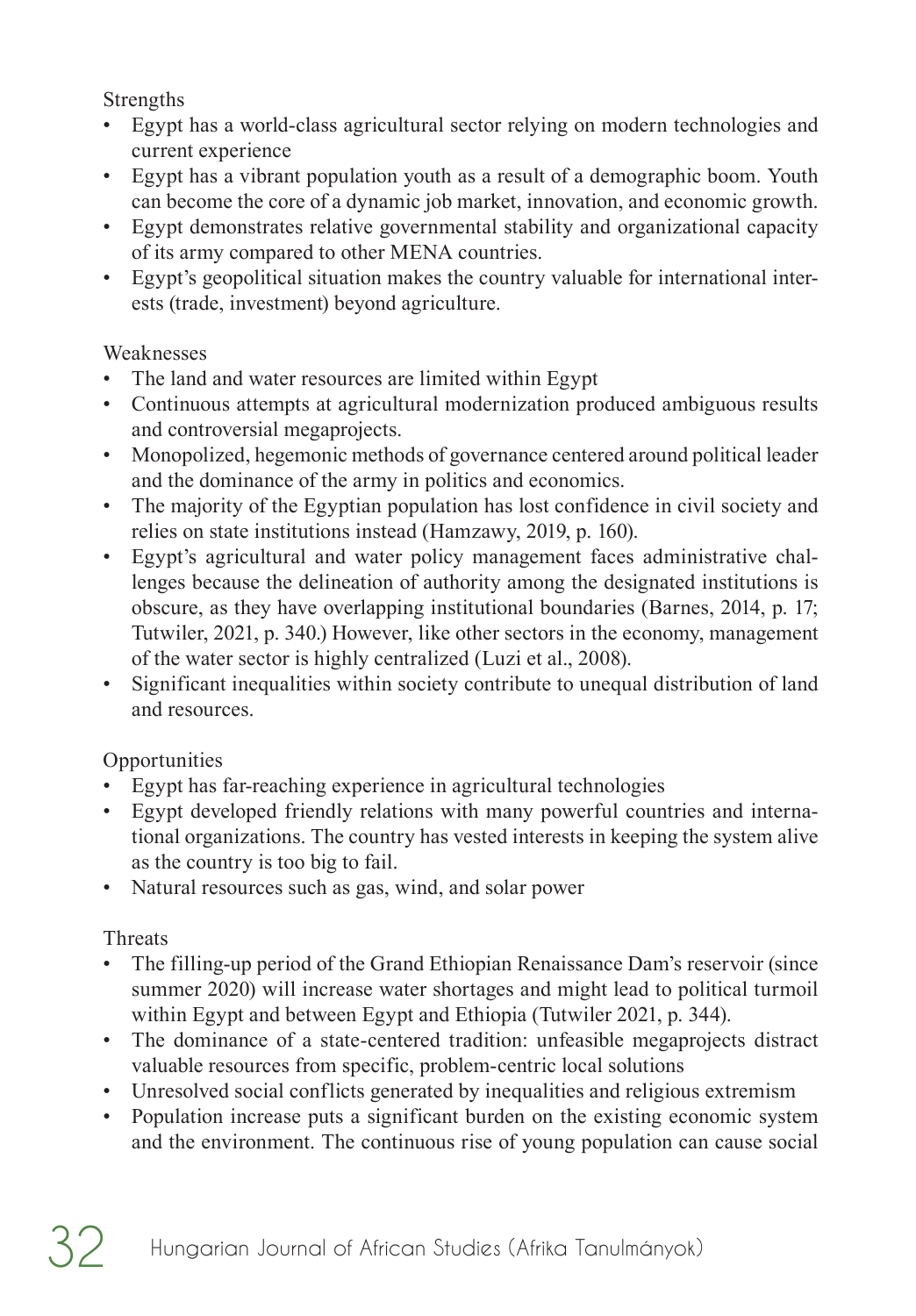Strengths

- Egypt has a world-class agricultural sector relying on modern technologies and current experience
- Egypt has a vibrant population youth as a result of a demographic boom. Youth can become the core of a dynamic job market, innovation, and economic growth.
- Egypt demonstrates relative governmental stability and organizational capacity of its army compared to other MENA countries.
- Egypt's geopolitical situation makes the country valuable for international interests (trade, investment) beyond agriculture.

## Weaknesses

- The land and water resources are limited within Egypt
- Continuous attempts at agricultural modernization produced ambiguous results and controversial megaprojects.
- Monopolized, hegemonic methods of governance centered around political leader and the dominance of the army in politics and economics.
- The majority of the Egyptian population has lost confidence in civil society and relies on state institutions instead (Hamzawy, 2019, p. 160).
- Egypt's agricultural and water policy management faces administrative challenges because the delineation of authority among the designated institutions is obscure, as they have overlapping institutional boundaries (Barnes, 2014, p. 17; Tutwiler, 2021, p. 340.) However, like other sectors in the economy, management of the water sector is highly centralized (Luzi et al., 2008).
- Significant inequalities within society contribute to unequal distribution of land and resources.

## **Opportunities**

- Egypt has far-reaching experience in agricultural technologies
- Egypt developed friendly relations with many powerful countries and international organizations. The country has vested interests in keeping the system alive as the country is too big to fail.
- Natural resources such as gas, wind, and solar power

## Threats

- The filling-up period of the Grand Ethiopian Renaissance Dam's reservoir (since summer 2020) will increase water shortages and might lead to political turmoil within Egypt and between Egypt and Ethiopia (Tutwiler 2021, p. 344).
- The dominance of a state-centered tradition: unfeasible megaprojects distract valuable resources from specific, problem-centric local solutions
- Unresolved social conflicts generated by inequalities and religious extremism
- Population increase puts a significant burden on the existing economic system and the environment. The continuous rise of young population can cause social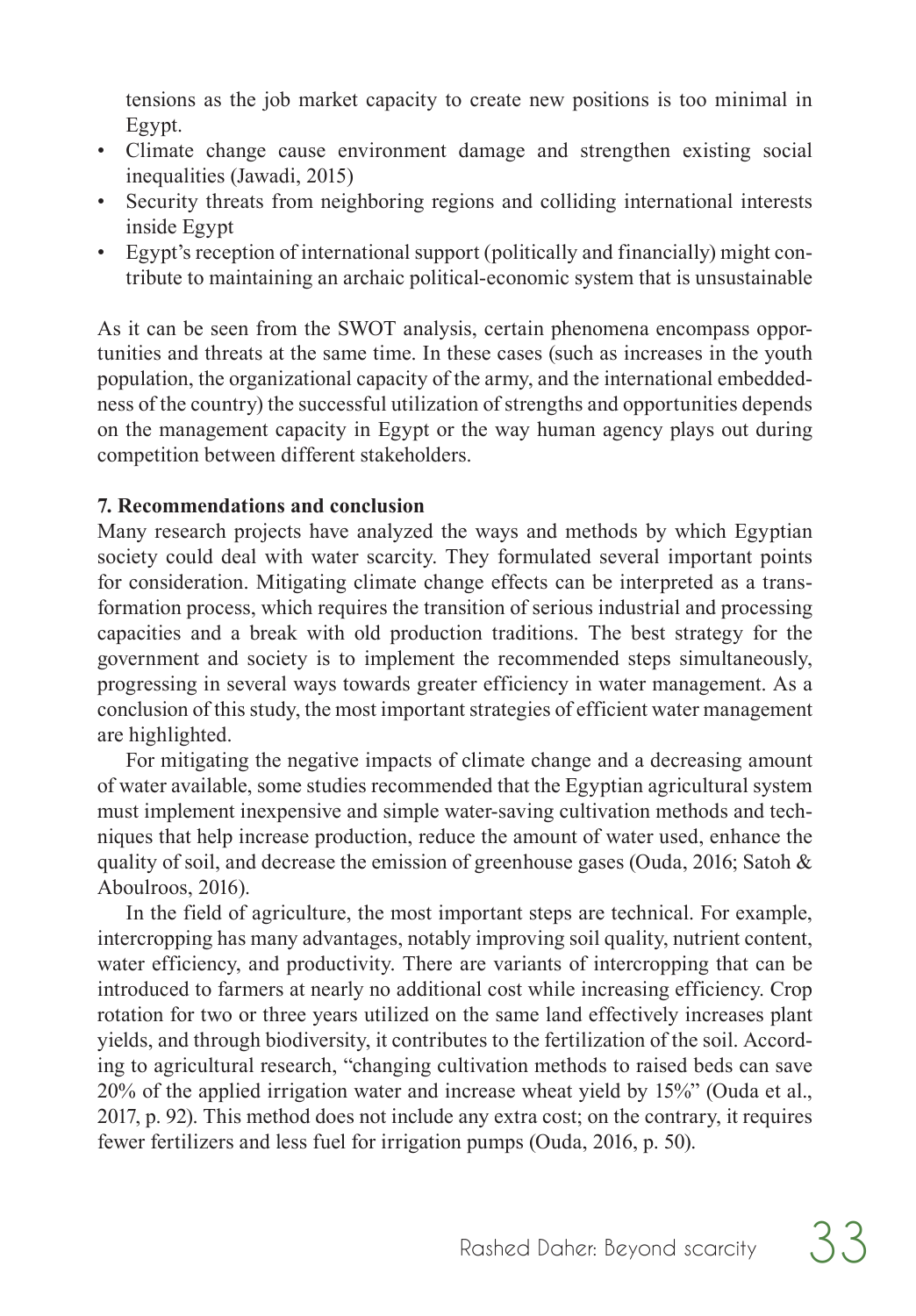tensions as the job market capacity to create new positions is too minimal in Egypt.

- Climate change cause environment damage and strengthen existing social inequalities (Jawadi, 2015)
- Security threats from neighboring regions and colliding international interests inside Egypt
- Egypt's reception of international support (politically and financially) might contribute to maintaining an archaic political-economic system that is unsustainable

As it can be seen from the SWOT analysis, certain phenomena encompass opportunities and threats at the same time. In these cases (such as increases in the youth population, the organizational capacity of the army, and the international embeddedness of the country) the successful utilization of strengths and opportunities depends on the management capacity in Egypt or the way human agency plays out during competition between different stakeholders.

#### **7. Recommendations and conclusion**

Many research projects have analyzed the ways and methods by which Egyptian society could deal with water scarcity. They formulated several important points for consideration. Mitigating climate change effects can be interpreted as a transformation process, which requires the transition of serious industrial and processing capacities and a break with old production traditions. The best strategy for the government and society is to implement the recommended steps simultaneously, progressing in several ways towards greater efficiency in water management. As a conclusion of this study, the most important strategies of efficient water management are highlighted.

For mitigating the negative impacts of climate change and a decreasing amount of water available, some studies recommended that the Egyptian agricultural system must implement inexpensive and simple water-saving cultivation methods and techniques that help increase production, reduce the amount of water used, enhance the quality of soil, and decrease the emission of greenhouse gases (Ouda, 2016; Satoh  $\&$ Aboulroos, 2016).

In the field of agriculture, the most important steps are technical. For example, intercropping has many advantages, notably improving soil quality, nutrient content, water efficiency, and productivity. There are variants of intercropping that can be introduced to farmers at nearly no additional cost while increasing efficiency. Crop rotation for two or three years utilized on the same land effectively increases plant yields, and through biodiversity, it contributes to the fertilization of the soil. According to agricultural research, "changing cultivation methods to raised beds can save 20% of the applied irrigation water and increase wheat yield by 15%" (Ouda et al., 2017, p. 92). This method does not include any extra cost; on the contrary, it requires fewer fertilizers and less fuel for irrigation pumps (Ouda, 2016, p. 50).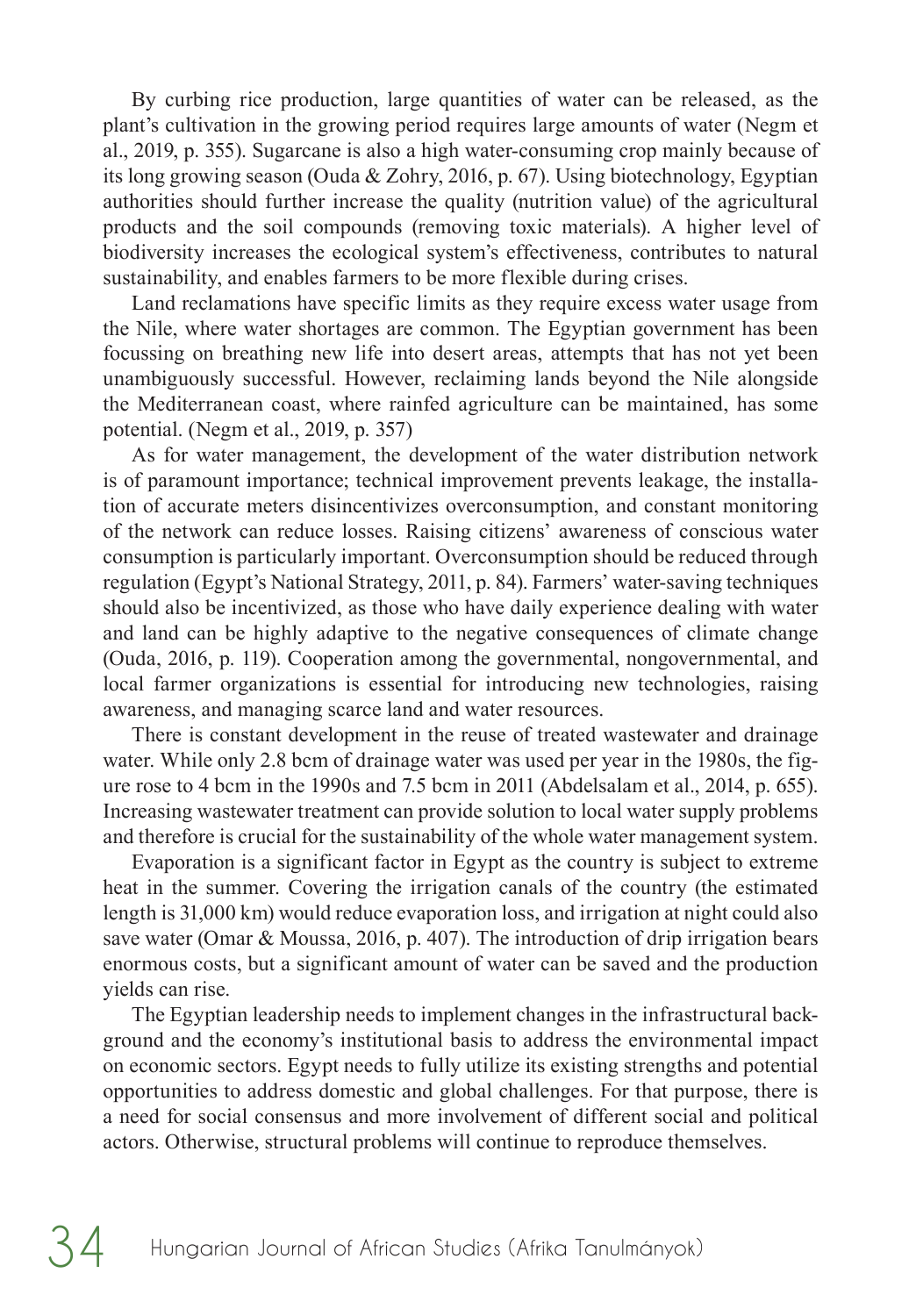By curbing rice production, large quantities of water can be released, as the plant's cultivation in the growing period requires large amounts of water (Negm et al., 2019, p. 355). Sugarcane is also a high water-consuming crop mainly because of its long growing season (Ouda & Zohry, 2016, p. 67). Using biotechnology, Egyptian authorities should further increase the quality (nutrition value) of the agricultural products and the soil compounds (removing toxic materials). A higher level of biodiversity increases the ecological system's effectiveness, contributes to natural sustainability, and enables farmers to be more flexible during crises.

Land reclamations have specific limits as they require excess water usage from the Nile, where water shortages are common. The Egyptian government has been focussing on breathing new life into desert areas, attempts that has not yet been unambiguously successful. However, reclaiming lands beyond the Nile alongside the Mediterranean coast, where rainfed agriculture can be maintained, has some potential. (Negm et al., 2019, p. 357)

As for water management, the development of the water distribution network is of paramount importance; technical improvement prevents leakage, the installation of accurate meters disincentivizes overconsumption, and constant monitoring of the network can reduce losses. Raising citizens' awareness of conscious water consumption is particularly important. Overconsumption should be reduced through regulation (Egypt's National Strategy, 2011, p. 84). Farmers' water-saving techniques should also be incentivized, as those who have daily experience dealing with water and land can be highly adaptive to the negative consequences of climate change (Ouda, 2016, p. 119). Cooperation among the governmental, nongovernmental, and local farmer organizations is essential for introducing new technologies, raising awareness, and managing scarce land and water resources.

There is constant development in the reuse of treated wastewater and drainage water. While only 2.8 bcm of drainage water was used per year in the 1980s, the figure rose to 4 bcm in the 1990s and 7.5 bcm in 2011 (Abdelsalam et al., 2014, p. 655). Increasing wastewater treatment can provide solution to local water supply problems and therefore is crucial for the sustainability of the whole water management system.

Evaporation is a significant factor in Egypt as the country is subject to extreme heat in the summer. Covering the irrigation canals of the country (the estimated length is 31,000 km) would reduce evaporation loss, and irrigation at night could also save water (Omar & Moussa, 2016, p. 407). The introduction of drip irrigation bears enormous costs, but a significant amount of water can be saved and the production yields can rise.

The Egyptian leadership needs to implement changes in the infrastructural background and the economy's institutional basis to address the environmental impact on economic sectors. Egypt needs to fully utilize its existing strengths and potential opportunities to address domestic and global challenges. For that purpose, there is a need for social consensus and more involvement of different social and political actors. Otherwise, structural problems will continue to reproduce themselves.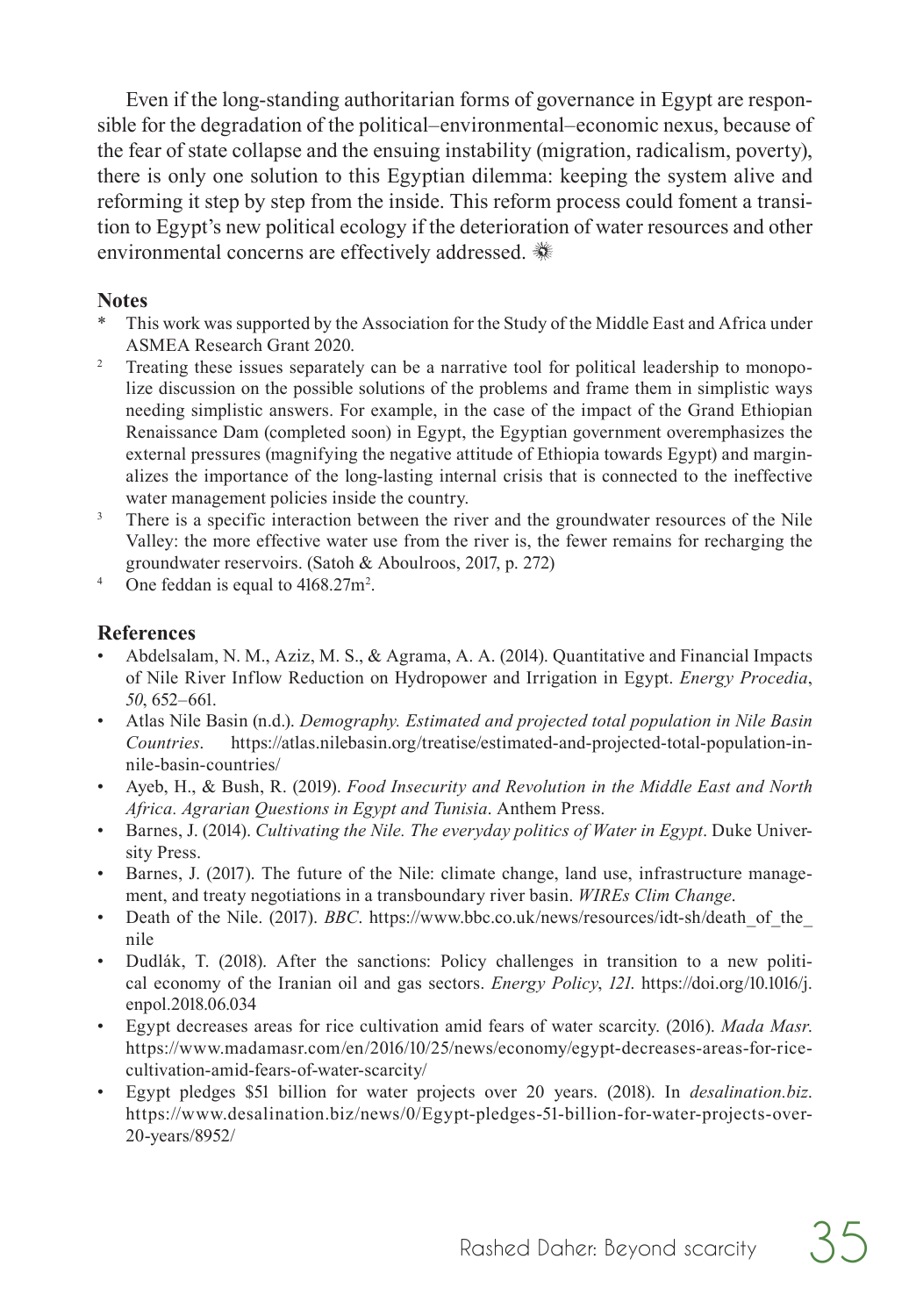<span id="page-14-0"></span>Even if the long-standing authoritarian forms of governance in Egypt are responsible for the degradation of the political–environmental–economic nexus, because of the fear of state collapse and the ensuing instability (migration, radicalism, poverty), there is only one solution to this Egyptian dilemma: keeping the system alive and reforming it step by step from the inside. This reform process could foment a transition to Egypt's new political ecology if the deterioration of water resources and other environmental concerns are effectively addressed.

#### **Notes**

- [T](#page-3-0)his work was supported by the Association for the Study of the Middle East and Africa under ASMEA Research Grant 2020.
- <sup>2</sup> Treating these issues separately can be a narrative tool for political leadership to monopolize discussion on the possible solutions of the problems and frame them in simplistic ways needing simplistic answers. For example, in the case of the impact of the Grand Ethiopian Renaissance Dam (completed soon) in Egypt, the Egyptian government overemphasizes the external pressures (magnifying the negative attitude of Ethiopia towards Egypt) and marginalizes the importance of the long-lasting internal crisis that is connected to the ineffective water management policies inside the country.
- $3$  There is a specific interaction between the river and the groundwater resources of the Nile Valley: the more effective water use from the river is, the fewer remains for recharging the groundwater reservoirs. (Satoh & Aboulroos, 2017, p. 272)
- <sup>4</sup> One feddan is equal to  $4168.27 \text{m}^2$ .

#### **References**

- Abdelsalam, N. M., Aziz, M. S., & Agrama, A. A. (2014). Quantitative and Financial Impacts of Nile River Inflow Reduction on Hydropower and Irrigation in Egypt. *Energy Procedia*, *50*, 652–661.
- Atlas Nile Basin (n.d.). *Demography. Estimated and projected total population in Nile Basin Countries*. https://atlas.nilebasin.org/treatise/estimated-and-projected-total-population-innile-basin-countries/
- Ayeb, H., & Bush, R. (2019). *Food Insecurity and Revolution in the Middle East and North Africa. Agrarian Questions in Egypt and Tunisia*. Anthem Press.
- Barnes, J. (2014). *Cultivating the Nile. The everyday politics of Water in Egypt*. Duke University Press.
- Barnes, J. (2017). The future of the Nile: climate change, land use, infrastructure management, and treaty negotiations in a transboundary river basin. *WIREs Clim Change*.
- Death of the Nile. (2017). *BBC*. https://www.bbc.co.uk/news/resources/idt-sh/death of the nile
- Dudlák, T. (2018). After the sanctions: Policy challenges in transition to a new political economy of the Iranian oil and gas sectors. *Energy Policy*, *121*. https://doi.org/10.1016/j. enpol.2018.06.034
- Egypt decreases areas for rice cultivation amid fears of water scarcity. (2016). *Mada Masr*. https://www.madamasr.com/en/2016/10/25/news/economy/egypt-decreases-areas-for-ricecultivation-amid-fears-of-water-scarcity/
- Egypt pledges \$51 billion for water projects over 20 years. (2018). In *desalination.biz*. https://www.desalination.biz/news/0/Egypt-pledges-51-billion-for-water-projects-over-20-years/8952/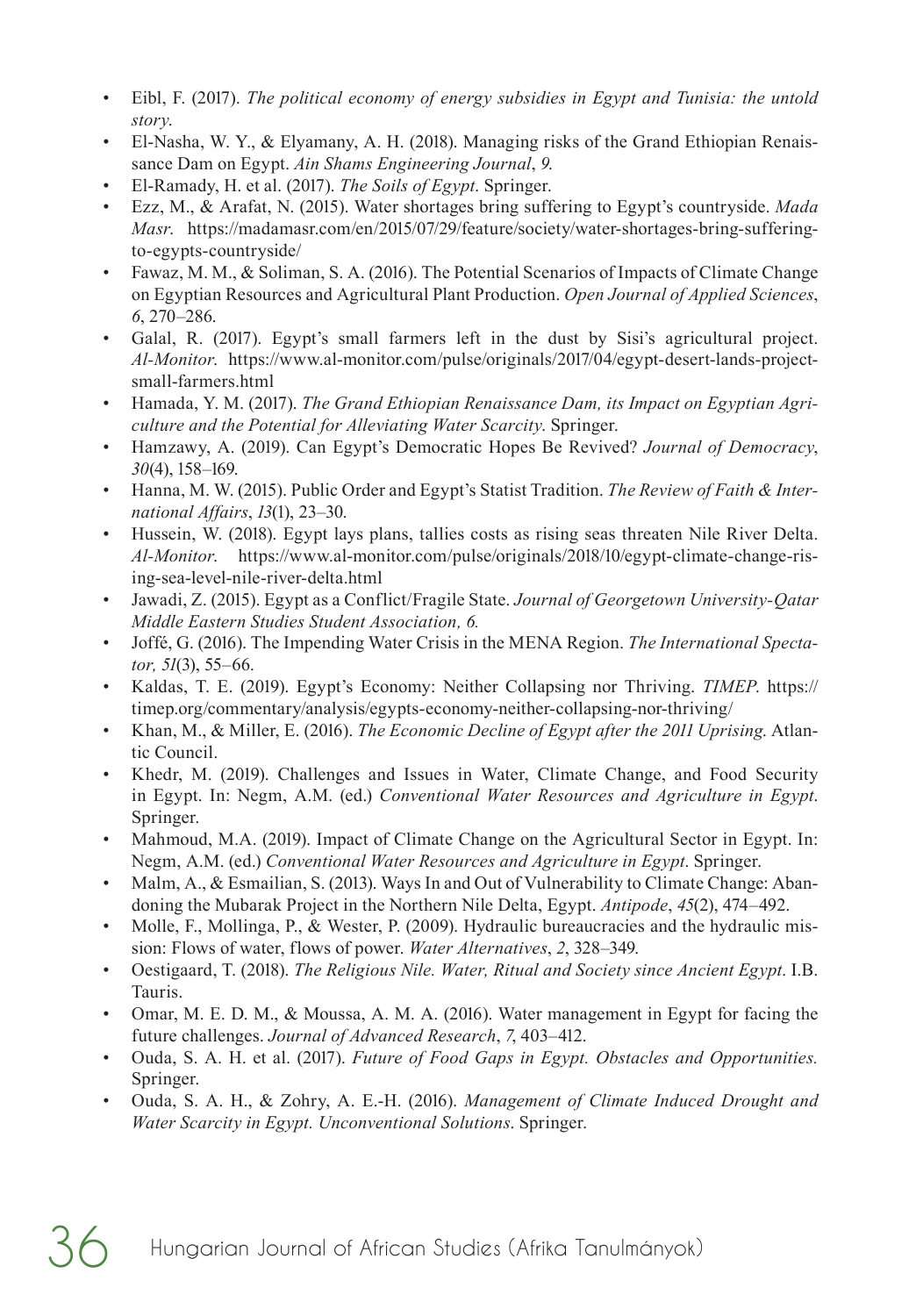- Eibl, F. (2017). *The political economy of energy subsidies in Egypt and Tunisia: the untold story*.
- El-Nasha, W. Y., & Elyamany, A. H. (2018). Managing risks of the Grand Ethiopian Renaissance Dam on Egypt. *Ain Shams Engineering Journal*, *9*.
- El-Ramady, H. et al. (2017). *The Soils of Egypt*. Springer.
- Ezz, M., & Arafat, N. (2015). Water shortages bring suffering to Egypt's countryside. *Mada Masr*. https://madamasr.com/en/2015/07/29/feature/society/water-shortages-bring-sufferingto-egypts-countryside/
- Fawaz, M. M., & Soliman, S. A. (2016). The Potential Scenarios of Impacts of Climate Change on Egyptian Resources and Agricultural Plant Production. *Open Journal of Applied Sciences*, *6*, 270–286.
- Galal, R. (2017). Egypt's small farmers left in the dust by Sisi's agricultural project. *Al-Monitor*. https://www.al-monitor.com/pulse/originals/2017/04/egypt-desert-lands-projectsmall-farmers.html
- Hamada, Y. M. (2017). *The Grand Ethiopian Renaissance Dam, its Impact on Egyptian Agriculture and the Potential for Alleviating Water Scarcity*. Springer.
- Hamzawy, A. (2019). Can Egypt's Democratic Hopes Be Revived? *Journal of Democracy*, *30*(4), 158–169.
- Hanna, M. W. (2015). Public Order and Egypt's Statist Tradition. *The Review of Faith & International Affairs*, *13*(1), 23–30.
- Hussein, W. (2018). Egypt lays plans, tallies costs as rising seas threaten Nile River Delta. *Al-Monitor*. https://www.al-monitor.com/pulse/originals/2018/10/egypt-climate-change-rising-sea-level-nile-river-delta.html
- Jawadi, Z. (2015). Egypt as a Conflict/Fragile State. *Journal of Georgetown University-Qatar Middle Eastern Studies Student Association, 6.*
- Joffé, G. (2016). The Impending Water Crisis in the MENA Region. *The International Spectator, 51*(3), 55–66.
- Kaldas, T. E. (2019). Egypt's Economy: Neither Collapsing nor Thriving. *TIMEP*. https:// timep.org/commentary/analysis/egypts-economy-neither-collapsing-nor-thriving/
- Khan, M., & Miller, E. (2016). *The Economic Decline of Egypt after the 2011 Uprising*. Atlantic Council.
- Khedr, M. (2019). Challenges and Issues in Water, Climate Change, and Food Security in Egypt. In: Negm, A.M. (ed.) *Conventional Water Resources and Agriculture in Egypt*. Springer.
- Mahmoud, M.A. (2019). Impact of Climate Change on the Agricultural Sector in Egypt. In: Negm, A.M. (ed.) *Conventional Water Resources and Agriculture in Egypt*. Springer.
- Malm, A., & Esmailian, S. (2013). Ways In and Out of Vulnerability to Climate Change: Abandoning the Mubarak Project in the Northern Nile Delta, Egypt. *Antipode*, *45*(2), 474–492.
- Molle, F., Mollinga, P., & Wester, P. (2009). Hydraulic bureaucracies and the hydraulic mission: Flows of water, flows of power. *Water Alternatives*, *2*, 328–349.
- Oestigaard, T. (2018). *The Religious Nile. Water, Ritual and Society since Ancient Egypt*. I.B. Tauris.
- Omar, M. E. D. M., & Moussa, A. M. A. (2016). Water management in Egypt for facing the future challenges. *Journal of Advanced Research*, *7*, 403–412.
- Ouda, S. A. H. et al. (2017). *Future of Food Gaps in Egypt. Obstacles and Opportunities.* Springer.
- Ouda, S. A. H., & Zohry, A. E.-H. (2016). *Management of Climate Induced Drought and Water Scarcity in Egypt. Unconventional Solutions*. Springer.